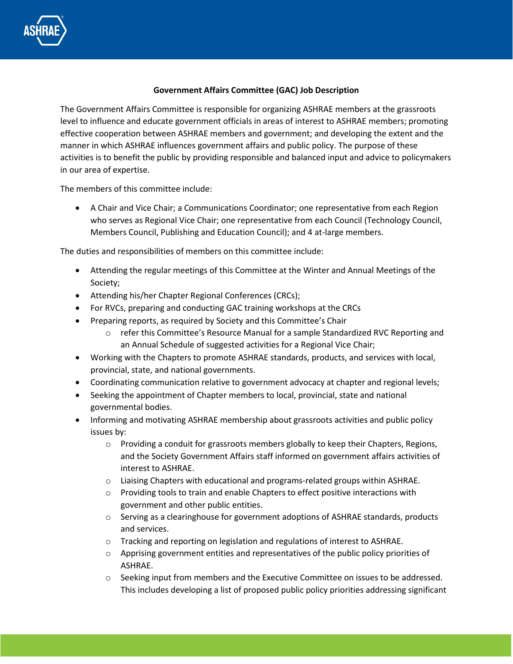

## **Government Affairs Committee (GAC) Job Description**

The Government Affairs Committee is responsible for organizing ASHRAE members at the grassroots level to influence and educate government officials in areas of interest to ASHRAE members; promoting effective cooperation between ASHRAE members and government; and developing the extent and the manner in which ASHRAE influences government affairs and public policy. The purpose of these activities is to benefit the public by providing responsible and balanced input and advice to policymakers in our area of expertise.

The members of this committee include:

• A Chair and Vice Chair; a Communications Coordinator; one representative from each Region who serves as Regional Vice Chair; one representative from each Council (Technology Council, Members Council, Publishing and Education Council); and 4 at-large members.

The duties and responsibilities of members on this committee include:

- Attending the regular meetings of this Committee at the Winter and Annual Meetings of the Society;
- Attending his/her Chapter Regional Conferences (CRCs);
- For RVCs, preparing and conducting GAC training workshops at the CRCs
- Preparing reports, as required by Society and this Committee's Chair
	- $\circ$  refer this Committee's Resource Manual for a sample Standardized RVC Reporting and an Annual Schedule of suggested activities for a Regional Vice Chair;
- Working with the Chapters to promote ASHRAE standards, products, and services with local, provincial, state, and national governments.
- Coordinating communication relative to government advocacy at chapter and regional levels;
- Seeking the appointment of Chapter members to local, provincial, state and national governmental bodies.
- Informing and motivating ASHRAE membership about grassroots activities and public policy issues by:
	- $\circ$  Providing a conduit for grassroots members globally to keep their Chapters, Regions, and the Society Government Affairs staff informed on government affairs activities of interest to ASHRAE.
	- $\circ$  Liaising Chapters with educational and programs-related groups within ASHRAE.
	- o Providing tools to train and enable Chapters to effect positive interactions with government and other public entities.
	- $\circ$  Serving as a clearinghouse for government adoptions of ASHRAE standards, products and services.
	- o Tracking and reporting on legislation and regulations of interest to ASHRAE.
	- $\circ$  Apprising government entities and representatives of the public policy priorities of ASHRAE.
	- $\circ$  Seeking input from members and the Executive Committee on issues to be addressed. This includes developing a list of proposed public policy priorities addressing significant